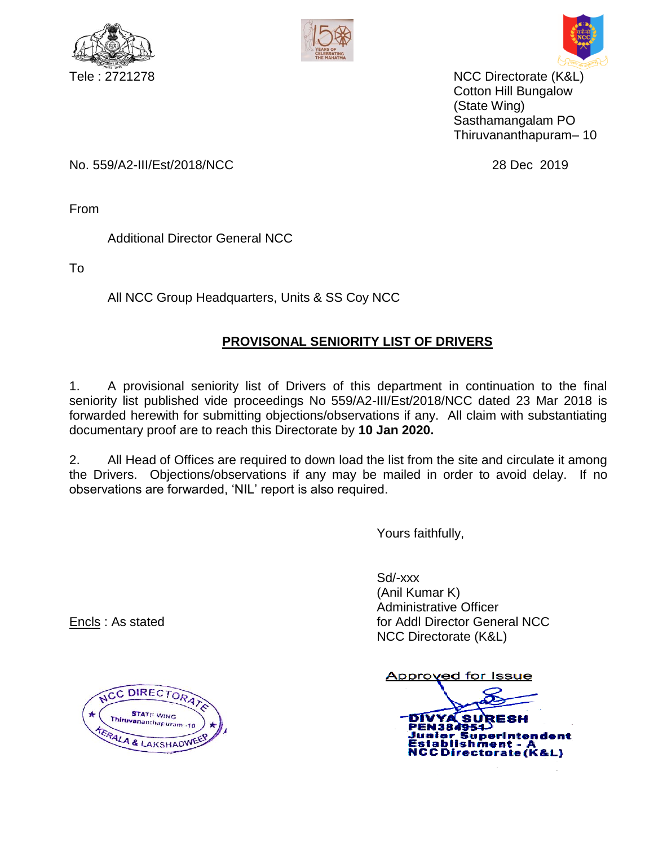





Tele : 2721278 NCC Directorate (K&L) Cotton Hill Bungalow (State Wing) Sasthamangalam PO Thiruvananthapuram– 10

No. 559/A2-III/Est/2018/NCC 28 Dec 2019

From

Additional Director General NCC

To

All NCC Group Headquarters, Units & SS Coy NCC

## **PROVISONAL SENIORITY LIST OF DRIVERS**

1. A provisional seniority list of Drivers of this department in continuation to the final seniority list published vide proceedings No 559/A2-III/Est/2018/NCC dated 23 Mar 2018 is forwarded herewith for submitting objections/observations if any. All claim with substantiating documentary proof are to reach this Directorate by **10 Jan 2020.**

2. All Head of Offices are required to down load the list from the site and circulate it among the Drivers. Objections/observations if any may be mailed in order to avoid delay. If no observations are forwarded, 'NIL' report is also required.

Yours faithfully,

Sd/-xxx (Anil Kumar K) Administrative Officer **Encls**: As stated **for Addl Director General NCC** NCC Directorate (K&L)

Approved for Issue

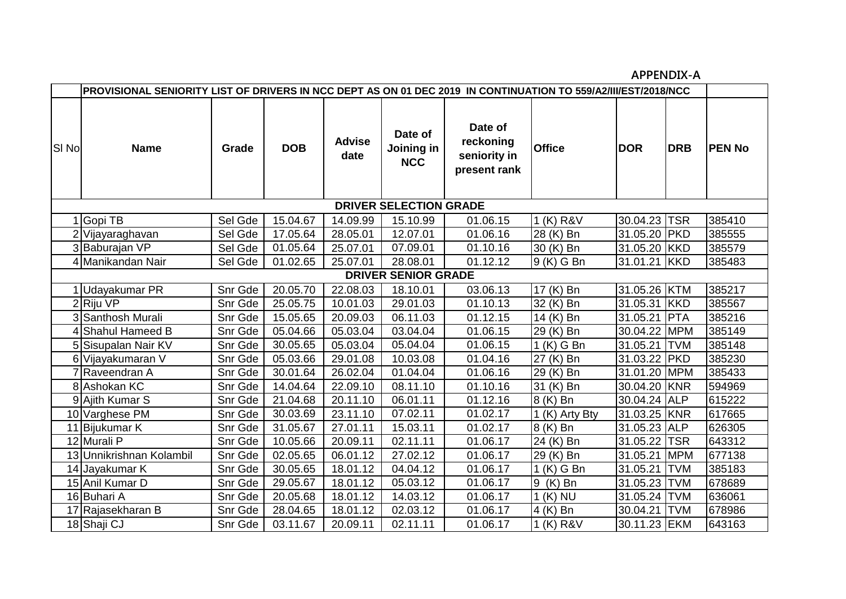**APPENDIX-A**

|                               | PROVISIONAL SENIORITY LIST OF DRIVERS IN NCC DEPT AS ON 01 DEC 2019 IN CONTINUATION TO 559/A2/III/EST/2018/NCC |         |            |                       |                                     |                                                      |                |              |            |               |  |  |
|-------------------------------|----------------------------------------------------------------------------------------------------------------|---------|------------|-----------------------|-------------------------------------|------------------------------------------------------|----------------|--------------|------------|---------------|--|--|
| SI No                         | <b>Name</b>                                                                                                    | Grade   | <b>DOB</b> | <b>Advise</b><br>date | Date of<br>Joining in<br><b>NCC</b> | Date of<br>reckoning<br>seniority in<br>present rank | <b>Office</b>  | <b>DOR</b>   | <b>DRB</b> | <b>PEN No</b> |  |  |
| <b>DRIVER SELECTION GRADE</b> |                                                                                                                |         |            |                       |                                     |                                                      |                |              |            |               |  |  |
|                               | 1 Gopi TB                                                                                                      | Sel Gde | 15.04.67   | 14.09.99              | 15.10.99                            | 01.06.15                                             | 1 (K) R&V      | 30.04.23 TSR |            | 385410        |  |  |
|                               | 2 Vijayaraghavan                                                                                               | Sel Gde | 17.05.64   | 28.05.01              | 12.07.01                            | 01.06.16                                             | 28 (K) Bn      | 31.05.20 PKD |            | 385555        |  |  |
|                               | 3 Baburajan VP                                                                                                 | Sel Gde | 01.05.64   | 25.07.01              | 07.09.01                            | 01.10.16                                             | 30 (K) Bn      | 31.05.20 KKD |            | 385579        |  |  |
|                               | 4 Manikandan Nair                                                                                              | Sel Gde | 01.02.65   | 25.07.01              | 28.08.01                            | 01.12.12                                             | 9 (K) G Bn     | 31.01.21 KKD |            | 385483        |  |  |
| <b>DRIVER SENIOR GRADE</b>    |                                                                                                                |         |            |                       |                                     |                                                      |                |              |            |               |  |  |
|                               | 1 Udayakumar PR                                                                                                | Snr Gde | 20.05.70   | 22.08.03              | 18.10.01                            | 03.06.13                                             | 17 (K) Bn      | 31.05.26 KTM |            | 385217        |  |  |
|                               | 2Riju VP                                                                                                       | Snr Gde | 25.05.75   | 10.01.03              | 29.01.03                            | 01.10.13                                             | 32 (K) Bn      | 31.05.31 KKD |            | 385567        |  |  |
|                               | 3 Santhosh Murali                                                                                              | Snr Gde | 15.05.65   | 20.09.03              | 06.11.03                            | 01.12.15                                             | 14 (K) Bn      | 31.05.21 PTA |            | 385216        |  |  |
|                               | 4 Shahul Hameed B                                                                                              | Snr Gde | 05.04.66   | 05.03.04              | 03.04.04                            | 01.06.15                                             | 29 (K) Bn      | 30.04.22 MPM |            | 385149        |  |  |
|                               | 5 Sisupalan Nair KV                                                                                            | Snr Gde | 30.05.65   | 05.03.04              | 05.04.04                            | 01.06.15                                             | 1 (K) G Bn     | 31.05.21 TVM |            | 385148        |  |  |
|                               | 6 Vijayakumaran V                                                                                              | Snr Gde | 05.03.66   | 29.01.08              | 10.03.08                            | 01.04.16                                             | 27 (K) Bn      | 31.03.22 PKD |            | 385230        |  |  |
|                               | 7 Raveendran A                                                                                                 | Snr Gde | 30.01.64   | 26.02.04              | 01.04.04                            | 01.06.16                                             | 29 (K) Bn      | 31.01.20 MPM |            | 385433        |  |  |
|                               | 8 Ashokan KC                                                                                                   | Snr Gde | 14.04.64   | 22.09.10              | 08.11.10                            | 01.10.16                                             | 31 (K) Bn      | 30.04.20 KNR |            | 594969        |  |  |
|                               | 9 Ajith Kumar S                                                                                                | Snr Gde | 21.04.68   | 20.11.10              | 06.01.11                            | 01.12.16                                             | 8 (K) Bn       | 30.04.24 ALP |            | 615222        |  |  |
|                               | 10 Varghese PM                                                                                                 | Snr Gde | 30.03.69   | 23.11.10              | 07.02.11                            | 01.02.17                                             | 1 (K) Arty Bty | 31.03.25 KNR |            | 617665        |  |  |
|                               | 11 Bijukumar K                                                                                                 | Snr Gde | 31.05.67   | 27.01.11              | 15.03.11                            | 01.02.17                                             | 8 (K) Bn       | 31.05.23 ALP |            | 626305        |  |  |
|                               | 12 Murali P                                                                                                    | Snr Gde | 10.05.66   | 20.09.11              | 02.11.11                            | 01.06.17                                             | 24 (K) Bn      | 31.05.22 TSR |            | 643312        |  |  |
|                               | 13 Unnikrishnan Kolambil                                                                                       | Snr Gde | 02.05.65   | 06.01.12              | 27.02.12                            | 01.06.17                                             | 29 (K) Bn      | 31.05.21 MPM |            | 677138        |  |  |
|                               | 14 Jayakumar K                                                                                                 | Snr Gde | 30.05.65   | 18.01.12              | 04.04.12                            | 01.06.17                                             | 1 (K) G Bn     | 31.05.21 TVM |            | 385183        |  |  |
|                               | 15 Anil Kumar D                                                                                                | Snr Gde | 29.05.67   | 18.01.12              | 05.03.12                            | 01.06.17                                             | 9 (K) Bn       | 31.05.23 TVM |            | 678689        |  |  |
|                               | 16 Buhari A                                                                                                    | Snr Gde | 20.05.68   | 18.01.12              | 14.03.12                            | 01.06.17                                             | $1(K)$ NU      | 31.05.24 TVM |            | 636061        |  |  |
|                               | 17 Rajasekharan B                                                                                              | Snr Gde | 28.04.65   | 18.01.12              | 02.03.12                            | 01.06.17                                             | 4 (K) Bn       | 30.04.21 TVM |            | 678986        |  |  |
|                               | 18 Shaji CJ                                                                                                    | Snr Gde | 03.11.67   | 20.09.11              | 02.11.11                            | 01.06.17                                             | 1 (K) R&V      | 30.11.23 EKM |            | 643163        |  |  |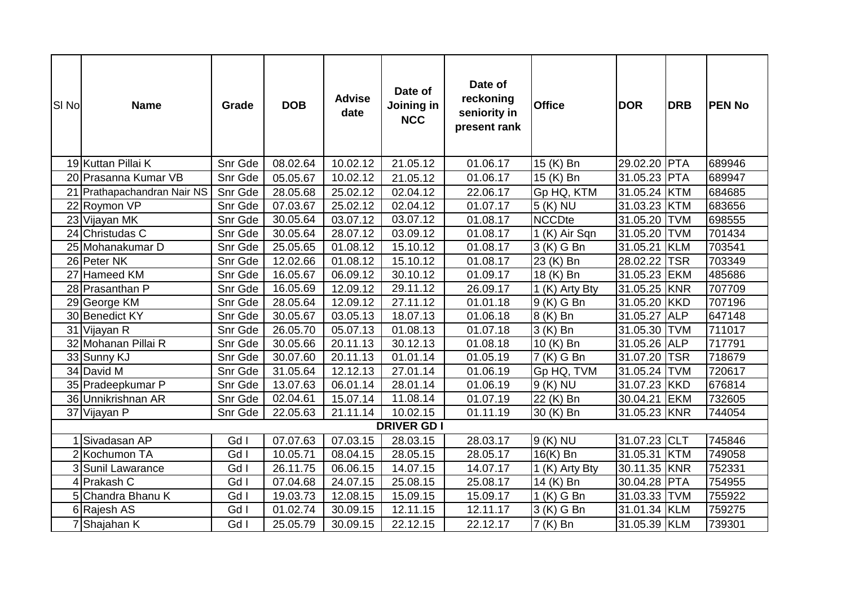| SI <sub>No</sub>   | <b>Name</b>                 | Grade   | <b>DOB</b> | <b>Advise</b><br>date | Date of<br>Joining in<br><b>NCC</b> | Date of<br>reckoning<br>seniority in<br>present rank | <b>Office</b>         | <b>DOR</b>   | <b>DRB</b> | <b>PEN No</b> |
|--------------------|-----------------------------|---------|------------|-----------------------|-------------------------------------|------------------------------------------------------|-----------------------|--------------|------------|---------------|
|                    | 19 Kuttan Pillai K          | Snr Gde | 08.02.64   | 10.02.12              | 21.05.12                            | 01.06.17                                             | 15 (K) Bn             | 29.02.20 PTA |            | 689946        |
|                    | 20 Prasanna Kumar VB        | Snr Gde | 05.05.67   | 10.02.12              | 21.05.12                            | 01.06.17                                             | 15 (K) Bn             | 31.05.23 PTA |            | 689947        |
|                    | 21 Prathapachandran Nair NS | Snr Gde | 28.05.68   | 25.02.12              | 02.04.12                            | 22.06.17                                             | Gp HQ, KTM            | 31.05.24 KTM |            | 684685        |
|                    | 22 Roymon VP                | Snr Gde | 07.03.67   | 25.02.12              | 02.04.12                            | 01.07.17                                             | $\overline{5}$ (K) NU | 31.03.23 KTM |            | 683656        |
|                    | 23 Vijayan MK               | Snr Gde | 30.05.64   | 03.07.12              | 03.07.12                            | 01.08.17                                             | <b>NCCDte</b>         | 31.05.20 TVM |            | 698555        |
|                    | 24 Christudas C             | Snr Gde | 30.05.64   | 28.07.12              | 03.09.12                            | 01.08.17                                             | 1 (K) Air Sqn         | 31.05.20 TVM |            | 701434        |
|                    | 25 Mohanakumar D            | Snr Gde | 25.05.65   | 01.08.12              | 15.10.12                            | 01.08.17                                             | 3 (K) G Bn            | 31.05.21 KLM |            | 703541        |
|                    | 26 Peter NK                 | Snr Gde | 12.02.66   | 01.08.12              | 15.10.12                            | 01.08.17                                             | 23 (K) Bn             | 28.02.22 TSR |            | 703349        |
|                    | 27 Hameed KM                | Snr Gde | 16.05.67   | 06.09.12              | 30.10.12                            | 01.09.17                                             | 18 (K) Bn             | 31.05.23 EKM |            | 485686        |
|                    | 28 Prasanthan P             | Snr Gde | 16.05.69   | 12.09.12              | 29.11.12                            | 26.09.17                                             | 1 (K) Arty Bty        | 31.05.25 KNR |            | 707709        |
|                    | 29 George KM                | Snr Gde | 28.05.64   | 12.09.12              | 27.11.12                            | 01.01.18                                             | 9 (K) G Bn            | 31.05.20 KKD |            | 707196        |
|                    | 30 Benedict KY              | Snr Gde | 30.05.67   | 03.05.13              | 18.07.13                            | 01.06.18                                             | 8 (K) Bn              | 31.05.27 ALP |            | 647148        |
|                    | 31 Vijayan R                | Snr Gde | 26.05.70   | 05.07.13              | 01.08.13                            | 01.07.18                                             | 3 (K) Bn              | 31.05.30 TVM |            | 711017        |
|                    | 32 Mohanan Pillai R         | Snr Gde | 30.05.66   | 20.11.13              | 30.12.13                            | 01.08.18                                             | 10 (K) Bn             | 31.05.26 ALP |            | 717791        |
|                    | 33 Sunny KJ                 | Snr Gde | 30.07.60   | 20.11.13              | 01.01.14                            | 01.05.19                                             | 7 (K) G Bn            | 31.07.20 TSR |            | 718679        |
|                    | 34 David M                  | Snr Gde | 31.05.64   | 12.12.13              | 27.01.14                            | 01.06.19                                             | Gp HQ, TVM            | 31.05.24 TVM |            | 720617        |
|                    | 35 Pradeepkumar P           | Snr Gde | 13.07.63   | 06.01.14              | 28.01.14                            | 01.06.19                                             | 9 (K) NU              | 31.07.23 KKD |            | 676814        |
|                    | 36 Unnikrishnan AR          | Snr Gde | 02.04.61   | 15.07.14              | 11.08.14                            | 01.07.19                                             | 22 (K) Bn             | 30.04.21 EKM |            | 732605        |
|                    | 37 Vijayan P                | Snr Gde | 22.05.63   | 21.11.14              | 10.02.15                            | 01.11.19                                             | 30 (K) Bn             | 31.05.23 KNR |            | 744054        |
| <b>DRIVER GD I</b> |                             |         |            |                       |                                     |                                                      |                       |              |            |               |
|                    | Sivadasan AP                | Gd I    | 07.07.63   | 07.03.15              | 28.03.15                            | 28.03.17                                             | 9 (K) NU              | 31.07.23 CLT |            | 745846        |
|                    | 2 Kochumon TA               | Gd I    | 10.05.71   | 08.04.15              | 28.05.15                            | 28.05.17                                             | 16(K) Bn              | 31.05.31 KTM |            | 749058        |
|                    | 3 Sunil Lawarance           | Gd I    | 26.11.75   | 06.06.15              | 14.07.15                            | 14.07.17                                             | 1 (K) Arty Bty        | 30.11.35 KNR |            | 752331        |
|                    | 4 Prakash C                 | Gd I    | 07.04.68   | 24.07.15              | 25.08.15                            | 25.08.17                                             | 14 (K) Bn             | 30.04.28 PTA |            | 754955        |
|                    | 5 Chandra Bhanu K           | Gd I    | 19.03.73   | 12.08.15              | 15.09.15                            | 15.09.17                                             | 1 (K) G Bn            | 31.03.33 TVM |            | 755922        |
|                    | 6 Rajesh AS                 | Gd I    | 01.02.74   | 30.09.15              | 12.11.15                            | 12.11.17                                             | 3 (K) G Bn            | 31.01.34 KLM |            | 759275        |
|                    | 7 Shajahan K                | Gd I    | 25.05.79   | 30.09.15              | 22.12.15                            | 22.12.17                                             | 7 (K) Bn              | 31.05.39 KLM |            | 739301        |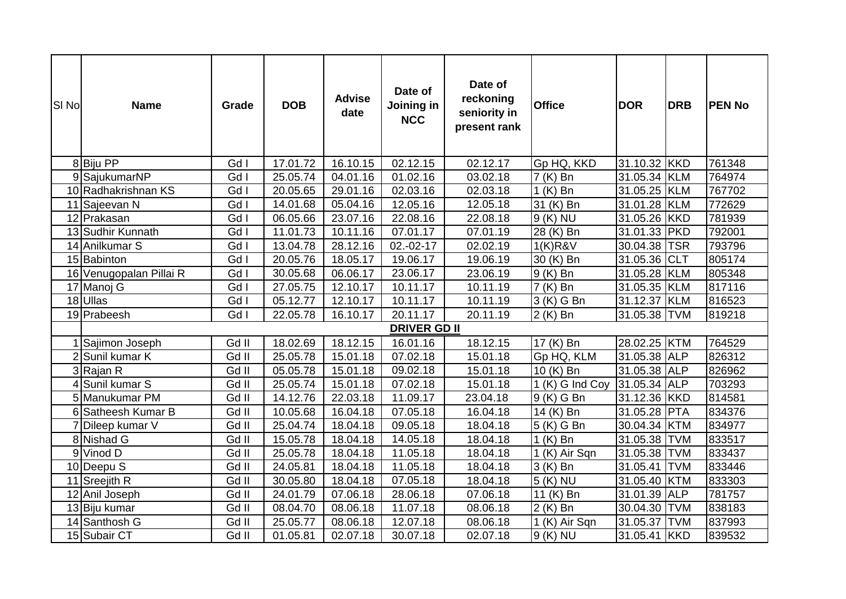| SI <sub>No</sub> | <b>Name</b>             | Grade   | <b>DOB</b> | <b>Advise</b><br>date | Date of<br><b>Joining in</b><br><b>NCC</b> | Date of<br>reckoning<br>seniority in<br>present rank | <b>Office</b>           | <b>DOR</b>   | <b>DRB</b> | <b>PEN No</b> |
|------------------|-------------------------|---------|------------|-----------------------|--------------------------------------------|------------------------------------------------------|-------------------------|--------------|------------|---------------|
|                  | 8 Biju PP               | Gd I    | 17.01.72   | 16.10.15              | 02.12.15                                   | 02.12.17                                             | Gp HQ, KKD              | 31.10.32 KKD |            | 761348        |
|                  | 9 SajukumarNP           | Gd I    | 25.05.74   | 04.01.16              | 01.02.16                                   | 03.02.18                                             | 7 (K) Bn                | 31.05.34 KLM |            | 764974        |
|                  | 10 Radhakrishnan KS     | Gd I    | 20.05.65   | 29.01.16              | 02.03.16                                   | 02.03.18                                             | $1(K)$ Bn               | 31.05.25 KLM |            | 767702        |
|                  | 11 Sajeevan N           | Gd I    | 14.01.68   | 05.04.16              | 12.05.16                                   | 12.05.18                                             | 31 (K) Bn               | 31.01.28 KLM |            | 772629        |
|                  | 12 Prakasan             | Gd I    | 06.05.66   | 23.07.16              | 22.08.16                                   | 22.08.18                                             | 9 (K) NU                | 31.05.26 KKD |            | 781939        |
|                  | 13 Sudhir Kunnath       | Gd I    | 11.01.73   | 10.11.16              | 07.01.17                                   | 07.01.19                                             | 28 (K) Bn               | 31.01.33 PKD |            | 792001        |
|                  | 14 Anilkumar S          | Gd I    | 13.04.78   | 28.12.16              | 02.-02-17                                  | 02.02.19                                             | 1(K)R8V                 | 30.04.38 TSR |            | 793796        |
|                  | 15 Babinton             | Gd I    | 20.05.76   | 18.05.17              | 19.06.17                                   | 19.06.19                                             | 30 (K) Bn               | 31.05.36 CLT |            | 805174        |
|                  | 16 Venugopalan Pillai R | Gd I    | 30.05.68   | 06.06.17              | 23.06.17                                   | 23.06.19                                             | $\overline{9}$ (K) Bn   | 31.05.28 KLM |            | 805348        |
|                  | 17 Manoj G              | Gd I    | 27.05.75   | 12.10.17              | 10.11.17                                   | 10.11.19                                             | 7 (K) Bn                | 31.05.35 KLM |            | 817116        |
|                  | 18 Ullas                | Gd I    | 05.12.77   | 12.10.17              | 10.11.17                                   | 10.11.19                                             | $\overline{3}$ (K) G Bn | 31.12.37 KLM |            | 816523        |
|                  | 19 Prabeesh             | Gd I    | 22.05.78   | 16.10.17              | 20.11.17                                   | 20.11.19                                             | 2 (K) Bn                | 31.05.38 TVM |            | 819218        |
|                  |                         |         |            |                       | <b>DRIVER GD II</b>                        |                                                      |                         |              |            |               |
|                  | 1 Sajimon Joseph        | Gd II   | 18.02.69   | 18.12.15              | 16.01.16                                   | 18.12.15                                             | 17 (K) Bn               | 28.02.25 KTM |            | 764529        |
| $\overline{2}$   | Sunil kumar K           | Gd II   | 25.05.78   | 15.01.18              | 07.02.18                                   | 15.01.18                                             | Gp HQ, KLM              | 31.05.38 ALP |            | 826312        |
|                  | 3 Rajan R               | Gd II   | 05.05.78   | 15.01.18              | 09.02.18                                   | 15.01.18                                             | 10 (K) Bn               | 31.05.38 ALP |            | 826962        |
|                  | 4 Sunil kumar S         | Gd II   | 25.05.74   | 15.01.18              | 07.02.18                                   | 15.01.18                                             | 1 (K) G Ind Coy         | 31.05.34 ALP |            | 703293        |
|                  | 5 Manukumar PM          | Gd II   | 14.12.76   | 22.03.18              | 11.09.17                                   | 23.04.18                                             | 9 (K) G Bn              | 31.12.36 KKD |            | 814581        |
|                  | 6 Satheesh Kumar B      | Gd II   | 10.05.68   | 16.04.18              | 07.05.18                                   | 16.04.18                                             | 14 (K) Bn               | 31.05.28 PTA |            | 834376        |
|                  | 7 Dileep kumar V        | Gd II   | 25.04.74   | 18.04.18              | 09.05.18                                   | 18.04.18                                             | $5(K)$ G Bn             | 30.04.34 KTM |            | 834977        |
|                  | 8 Nishad G              | $Gd$ II | 15.05.78   | 18.04.18              | 14.05.18                                   | 18.04.18                                             | $1$ (K) Bn              | 31.05.38 TVM |            | 833517        |
|                  | 9 Vinod D               | Gd II   | 25.05.78   | 18.04.18              | 11.05.18                                   | 18.04.18                                             | 1 (K) Air Sqn           | 31.05.38 TVM |            | 833437        |
|                  | 10 Deepu S              | Gd II   | 24.05.81   | 18.04.18              | 11.05.18                                   | 18.04.18                                             | $3(K)$ Bn               | 31.05.41 TVM |            | 833446        |
|                  | 11 Sreejith R           | Gd II   | 30.05.80   | 18.04.18              | 07.05.18                                   | 18.04.18                                             | 5 (K) NU                | 31.05.40 KTM |            | 833303        |
|                  | 12 Anil Joseph          | Gd II   | 24.01.79   | 07.06.18              | 28.06.18                                   | 07.06.18                                             | 11 (K) Bn               | 31.01.39 ALP |            | 781757        |
|                  | 13 Biju kumar           | Gd II   | 08.04.70   | 08.06.18              | 11.07.18                                   | 08.06.18                                             | 2 (K) Bn                | 30.04.30 TVM |            | 838183        |
|                  | 14 Santhosh G           | Gd II   | 25.05.77   | 08.06.18              | 12.07.18                                   | 08.06.18                                             | 1 (K) Air Sqn           | 31.05.37 TVM |            | 837993        |
|                  | 15 Subair CT            | Gd II   | 01.05.81   | 02.07.18              | 30.07.18                                   | 02.07.18                                             | 9 (K) NU                | 31.05.41 KKD |            | 839532        |